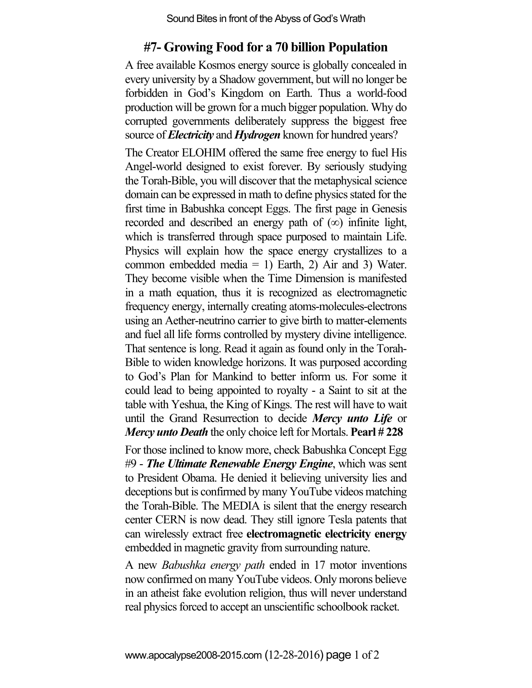Sound Bites in front of the Abyss of God's Wrath

## **#7- Growing Food for a 70 billion Population**

A free available Kosmos energy source is globally concealed in every university by a Shadow government, but will no longer be forbidden in God's Kingdom on Earth. Thus a world-food production will be grown for a much bigger population. Why do corrupted governments deliberately suppress the biggest free source of *Electricity* and *Hydrogen* known for hundred years?

The Creator ELOHIM offered the same free energy to fuel His Angel-world designed to exist forever. By seriously studying the Torah-Bible, you will discover that the metaphysical science domain can be expressed in math to define physics stated for the first time in Babushka concept Eggs. The first page in Genesis recorded and described an energy path of  $(\infty)$  infinite light, which is transferred through space purposed to maintain Life. Physics will explain how the space energy crystallizes to a common embedded media = 1) Earth, 2) Air and 3) Water. They become visible when the Time Dimension is manifested in a math equation, thus it is recognized as electromagnetic frequency energy, internally creating atoms-molecules-electrons using an Aether-neutrino carrier to give birth to matter-elements and fuel all life forms controlled by mystery divine intelligence. That sentence is long. Read it again as found only in the Torah-Bible to widen knowledge horizons. It was purposed according to God's Plan for Mankind to better inform us. For some it could lead to being appointed to royalty - a Saint to sit at the table with Yeshua, the King of Kings. The rest will have to wait until the Grand Resurrection to decide *Mercy unto Life* or *Mercy unto Death* the only choice left for Mortals. **Pearl # 228**

For those inclined to know more, check Babushka Concept Egg #9 - *The Ultimate Renewable Energy Engine*, which was sent to President Obama. He denied it believing university lies and deceptions but is confirmed by many YouTube videos matching the Torah-Bible. The MEDIA is silent that the energy research center CERN is now dead. They still ignore Tesla patents that can wirelessly extract free **electromagnetic electricity energy**  embedded in magnetic gravity from surrounding nature.

A new *Babushka energy path* ended in 17 motor inventions now confirmed on many YouTube videos. Only morons believe in an atheist fake evolution religion, thus will never understand real physics forced to accept an unscientific schoolbook racket.